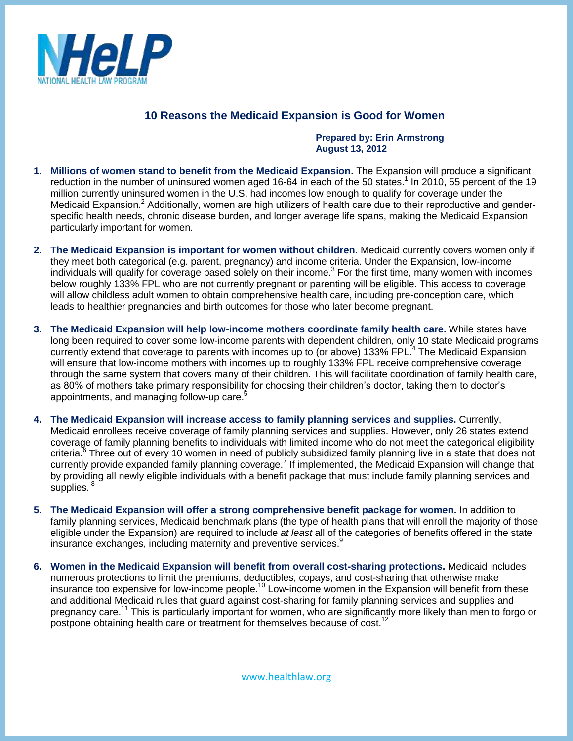

## **10 Reasons the Medicaid Expansion is Good for Women**

## **Prepared by: Erin Armstrong August 13, 2012**

- **1. Millions of women stand to benefit from the Medicaid Expansion.** The Expansion will produce a significant reduction in the number of uninsured women aged 16-64 in each of the 50 states.<sup>1</sup> In 2010, 55 percent of the 19 million currently uninsured women in the U.S. had incomes low enough to qualify for coverage under the Medicaid Expansion.<sup>2</sup> Additionally, women are high utilizers of health care due to their reproductive and genderspecific health needs, chronic disease burden, and longer average life spans, making the Medicaid Expansion particularly important for women.
- **2. The Medicaid Expansion is important for women without children.** Medicaid currently covers women only if they meet both categorical (e.g. parent, pregnancy) and income criteria. Under the Expansion, low-income individuals will qualify for coverage based solely on their income.<sup>3</sup> For the first time, many women with incomes below roughly 133% FPL who are not currently pregnant or parenting will be eligible. This access to coverage will allow childless adult women to obtain comprehensive health care, including pre-conception care, which leads to healthier pregnancies and birth outcomes for those who later become pregnant.
- **3. The Medicaid Expansion will help low-income mothers coordinate family health care.** While states have long been required to cover some low-income parents with dependent children, only 10 state Medicaid programs currently extend that coverage to parents with incomes up to (or above) 133% FPL.<sup>4</sup> The Medicaid Expansion will ensure that low-income mothers with incomes up to roughly 133% FPL receive comprehensive coverage through the same system that covers many of their children. This will facilitate coordination of family health care, as 80% of mothers take primary responsibility for choosing their children's doctor, taking them to doctor's appointments, and managing follow-up care.<sup>5</sup>
- **4. The Medicaid Expansion will increase access to family planning services and supplies.** Currently, Medicaid enrollees receive coverage of family planning services and supplies. However, only 26 states extend coverage of family planning benefits to individuals with limited income who do not meet the categorical eligibility criteria.<sup>6</sup> Three out of every 10 women in need of publicly subsidized family planning live in a state that does not currently provide expanded family planning coverage.<sup>7</sup> If implemented, the Medicaid Expansion will change that by providing all newly eligible individuals with a benefit package that must include family planning services and supplies.<sup>8</sup>
- **5. The Medicaid Expansion will offer a strong comprehensive benefit package for women.** In addition to family planning services, Medicaid benchmark plans (the type of health plans that will enroll the majority of those eligible under the Expansion) are required to include *at least* all of the categories of benefits offered in the state insurance exchanges, including maternity and preventive services.<sup>9</sup>
- **6. Women in the Medicaid Expansion will benefit from overall cost-sharing protections.** Medicaid includes numerous protections to limit the premiums, deductibles, copays, and cost-sharing that otherwise make insurance too expensive for low-income people.<sup>10</sup> Low-income women in the Expansion will benefit from these and additional Medicaid rules that guard against cost-sharing for family planning services and supplies and pregnancy care.<sup>11</sup> This is particularly important for women, who are significantly more likely than men to forgo or postpone obtaining health care or treatment for themselves because of cost.<sup>12</sup>